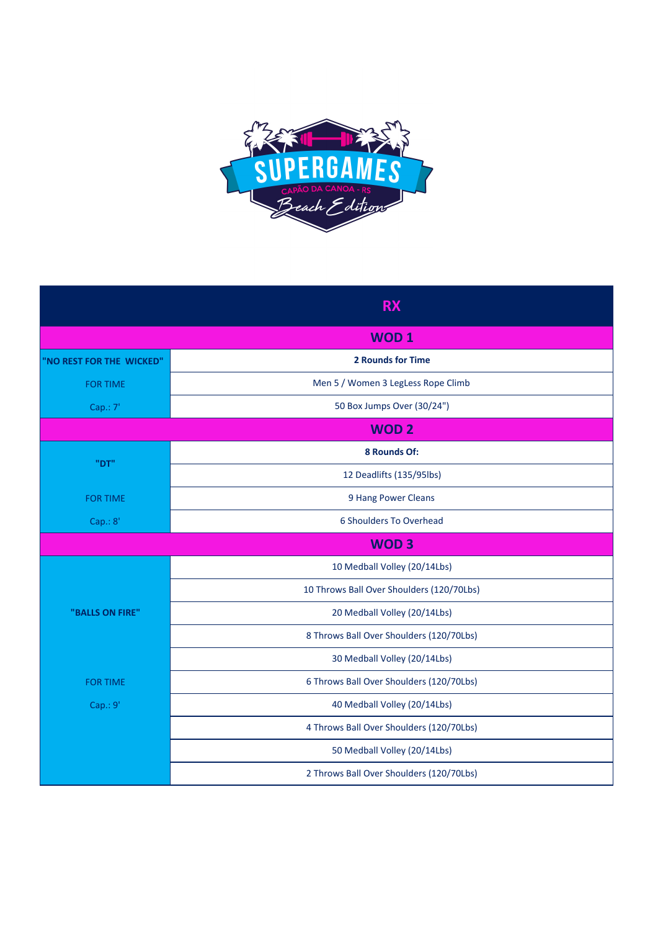

|                          | <b>RX</b>                                 |
|--------------------------|-------------------------------------------|
|                          | <b>WOD1</b>                               |
| "NO REST FOR THE WICKED" | <b>2 Rounds for Time</b>                  |
| <b>FOR TIME</b>          | Men 5 / Women 3 LegLess Rope Climb        |
| Cap.: 7'                 | 50 Box Jumps Over (30/24")                |
|                          | <b>WOD2</b>                               |
| "DT"                     | 8 Rounds Of:                              |
|                          | 12 Deadlifts (135/95lbs)                  |
| <b>FOR TIME</b>          | 9 Hang Power Cleans                       |
| Cap.: 8'                 | 6 Shoulders To Overhead                   |
|                          | <b>WOD3</b>                               |
| "BALLS ON FIRE"          | 10 Medball Volley (20/14Lbs)              |
|                          | 10 Throws Ball Over Shoulders (120/70Lbs) |
|                          | 20 Medball Volley (20/14Lbs)              |
|                          | 8 Throws Ball Over Shoulders (120/70Lbs)  |
|                          | 30 Medball Volley (20/14Lbs)              |
| <b>FOR TIME</b>          | 6 Throws Ball Over Shoulders (120/70Lbs)  |
| Cap.: 9'                 | 40 Medball Volley (20/14Lbs)              |
|                          | 4 Throws Ball Over Shoulders (120/70Lbs)  |
|                          | 50 Medball Volley (20/14Lbs)              |
|                          | 2 Throws Ball Over Shoulders (120/70Lbs)  |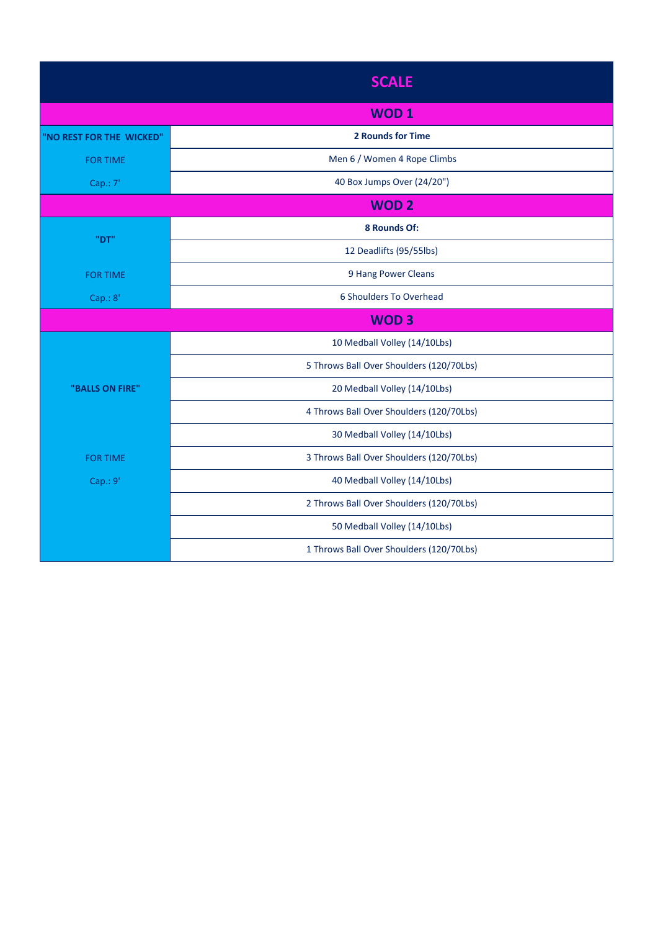|                          | <b>SCALE</b>                             |  |
|--------------------------|------------------------------------------|--|
|                          | <b>WOD1</b>                              |  |
| "NO REST FOR THE WICKED" | <b>2 Rounds for Time</b>                 |  |
| <b>FOR TIME</b>          | Men 6 / Women 4 Rope Climbs              |  |
| Cap.: 7'                 | 40 Box Jumps Over (24/20")               |  |
| <b>WOD2</b>              |                                          |  |
| "DT"                     | 8 Rounds Of:                             |  |
|                          | 12 Deadlifts (95/55lbs)                  |  |
| <b>FOR TIME</b>          | 9 Hang Power Cleans                      |  |
| Cap.: 8'                 | 6 Shoulders To Overhead                  |  |
|                          | <b>WOD3</b>                              |  |
| "BALLS ON FIRE"          | 10 Medball Volley (14/10Lbs)             |  |
|                          | 5 Throws Ball Over Shoulders (120/70Lbs) |  |
|                          | 20 Medball Volley (14/10Lbs)             |  |
|                          | 4 Throws Ball Over Shoulders (120/70Lbs) |  |
|                          | 30 Medball Volley (14/10Lbs)             |  |
| <b>FOR TIME</b>          | 3 Throws Ball Over Shoulders (120/70Lbs) |  |
| Cap.: 9'                 | 40 Medball Volley (14/10Lbs)             |  |
|                          | 2 Throws Ball Over Shoulders (120/70Lbs) |  |
|                          | 50 Medball Volley (14/10Lbs)             |  |
|                          | 1 Throws Ball Over Shoulders (120/70Lbs) |  |